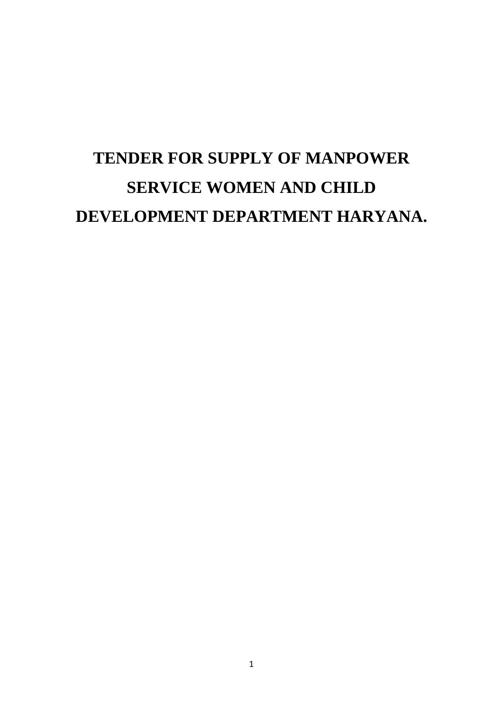# **TENDER FOR SUPPLY OF MANPOWER SERVICE WOMEN AND CHILD DEVELOPMENT DEPARTMENT HARYANA.**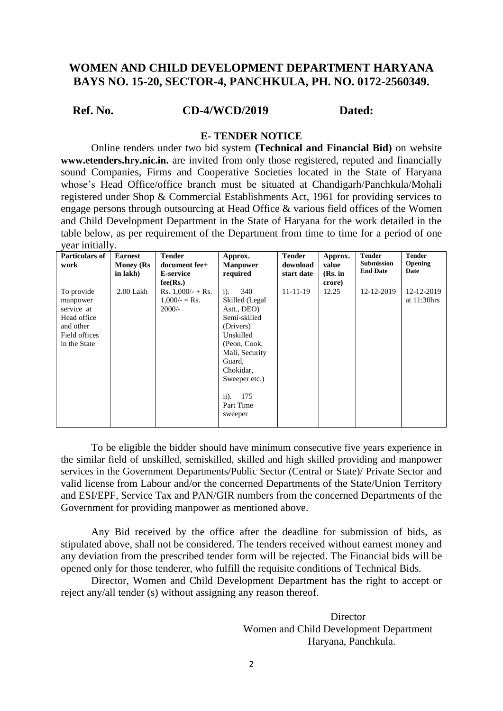### **WOMEN AND CHILD DEVELOPMENT DEPARTMENT HARYANA BAYS NO. 15-20, SECTOR-4, PANCHKULA, PH. NO. 0172-2560349.**

#### **Ref. No. CD-4/WCD/2019 Dated:**

#### **E- TENDER NOTICE**

Online tenders under two bid system **(Technical and Financial Bid)** on website **[www.etenders.hry.nic.in.](https://haryanaeprocurement.gov.in/)** are invited from only those registered, reputed and financially sound Companies, Firms and Cooperative Societies located in the State of Haryana whose's Head Office/office branch must be situated at Chandigarh/Panchkula/Mohali registered under Shop & Commercial Establishments Act, 1961 for providing services to engage persons through outsourcing at Head Office & various field offices of the Women and Child Development Department in the State of Haryana for the work detailed in the table below, as per requirement of the Department from time to time for a period of one year initially.

| Particulars of | <b>Earnest</b>    | <b>Tender</b>       | Approx.                      | <b>Tender</b>  | Approx. | <b>Tender</b>     | <b>Tender</b>  |
|----------------|-------------------|---------------------|------------------------------|----------------|---------|-------------------|----------------|
| work           | <b>Money</b> (Rs) | document fee+       | <b>Manpower</b>              | download       | value   | <b>Submission</b> | <b>Opening</b> |
|                | in lakh)          | <b>E-service</b>    | required                     | start date     | (Rs. in | <b>End Date</b>   | Date           |
|                |                   | fee(Rs.)            |                              |                | crore)  |                   |                |
| To provide     | $2.00$ Lakh       | Rs. $1,000/- +$ Rs. | $i$ ).<br>340                | $11 - 11 - 19$ | 12.25   | 12-12-2019        | 12-12-2019     |
| manpower       |                   | $1,000/-$ = Rs.     | Skilled (Legal               |                |         |                   | at $11:30$ hrs |
| service at     |                   | $2000/-$            | Astt., DEO)                  |                |         |                   |                |
| Head office    |                   |                     | Semi-skilled                 |                |         |                   |                |
| and other      |                   |                     | (Drivers)                    |                |         |                   |                |
| Field offices  |                   |                     | Unskilled                    |                |         |                   |                |
| in the State   |                   |                     | (Peon, Cook,                 |                |         |                   |                |
|                |                   |                     | Mali, Security               |                |         |                   |                |
|                |                   |                     | Guard,                       |                |         |                   |                |
|                |                   |                     | Chokidar,                    |                |         |                   |                |
|                |                   |                     | Sweeper etc.)                |                |         |                   |                |
|                |                   |                     |                              |                |         |                   |                |
|                |                   |                     | 175<br>$\ddot{\mathbf{i}}$ . |                |         |                   |                |
|                |                   |                     | Part Time                    |                |         |                   |                |
|                |                   |                     | sweeper                      |                |         |                   |                |
|                |                   |                     |                              |                |         |                   |                |

To be eligible the bidder should have minimum consecutive five years experience in the similar field of unskilled, semiskilled, skilled and high skilled providing and manpower services in the Government Departments/Public Sector (Central or State)/ Private Sector and valid license from Labour and/or the concerned Departments of the State/Union Territory and ESI/EPF, Service Tax and PAN/GIR numbers from the concerned Departments of the Government for providing manpower as mentioned above.

Any Bid received by the office after the deadline for submission of bids, as stipulated above, shall not be considered. The tenders received without earnest money and any deviation from the prescribed tender form will be rejected. The Financial bids will be opened only for those tenderer, who fulfill the requisite conditions of Technical Bids.

Director, Women and Child Development Department has the right to accept or reject any/all tender (s) without assigning any reason thereof.

> **Director** Women and Child Development Department Haryana, Panchkula.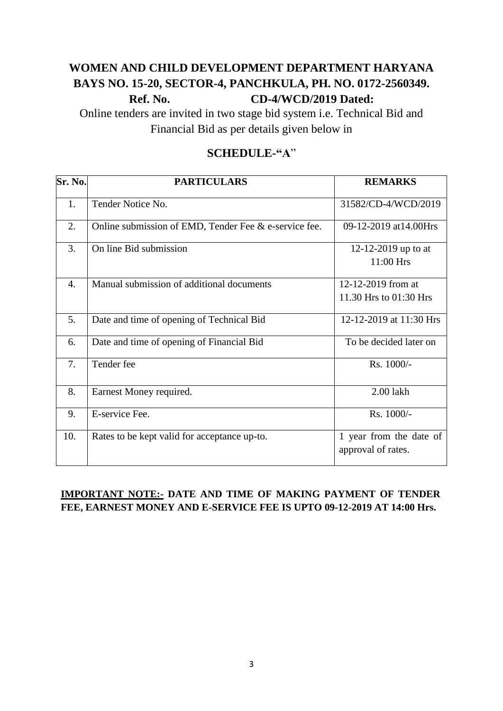# **WOMEN AND CHILD DEVELOPMENT DEPARTMENT HARYANA BAYS NO. 15-20, SECTOR-4, PANCHKULA, PH. NO. 0172-2560349. Ref. No. CD-4/WCD/2019 Dated:**

Online tenders are invited in two stage bid system i.e. Technical Bid and Financial Bid as per details given below in

# **SCHEDULE-"A**"

| Sr. No. | <b>PARTICULARS</b>                                    | <b>REMARKS</b>                                |  |
|---------|-------------------------------------------------------|-----------------------------------------------|--|
| 1.      | Tender Notice No.                                     | 31582/CD-4/WCD/2019                           |  |
| 2.      | Online submission of EMD, Tender Fee & e-service fee. | 09-12-2019 at 14.00 Hrs                       |  |
| 3.      | On line Bid submission                                | 12-12-2019 up to at<br>11:00 Hrs              |  |
| 4.      | Manual submission of additional documents             | 12-12-2019 from at<br>11.30 Hrs to 01:30 Hrs  |  |
| 5.      | Date and time of opening of Technical Bid             | 12-12-2019 at 11:30 Hrs                       |  |
| 6.      | Date and time of opening of Financial Bid             | To be decided later on                        |  |
| 7.      | Tender fee                                            | Rs. 1000/-                                    |  |
| 8.      | Earnest Money required.                               | 2.00 lakh                                     |  |
| 9.      | E-service Fee.                                        | Rs. 1000/-                                    |  |
| 10.     | Rates to be kept valid for acceptance up-to.          | 1 year from the date of<br>approval of rates. |  |

### **IMPORTANT NOTE:- DATE AND TIME OF MAKING PAYMENT OF TENDER FEE, EARNEST MONEY AND E-SERVICE FEE IS UPTO 09-12-2019 AT 14:00 Hrs.**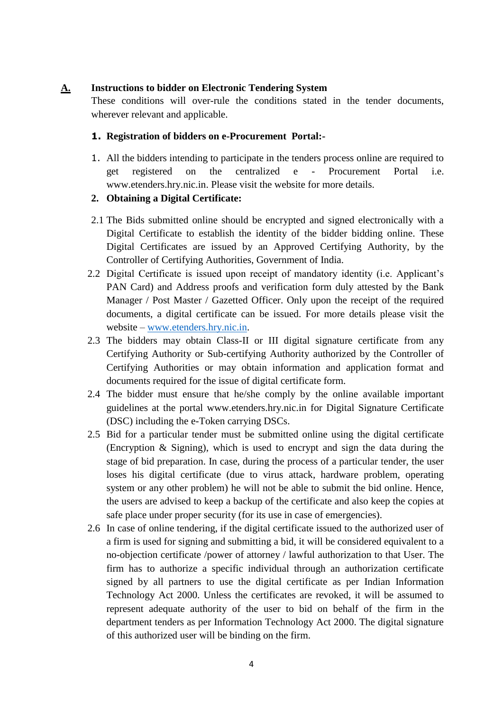#### **A. Instructions to bidder on Electronic Tendering System**

These conditions will over-rule the conditions stated in the tender documents, wherever relevant and applicable.

#### **1. Registration of bidders on e-Procurement Portal:-**

1. All the bidders intending to participate in the tenders process online are required to get registered on the centralized e - Procurement Portal i.e. [www.etenders.hry.nic.in.](https://haryanaeprocurement.gov.in/) Please visit the website for more details.

#### **2. Obtaining a Digital Certificate:**

- 2.1 The Bids submitted online should be encrypted and signed electronically with a Digital Certificate to establish the identity of the bidder bidding online. These Digital Certificates are issued by an Approved Certifying Authority, by the Controller of Certifying Authorities, Government of India.
- 2.2 Digital Certificate is issued upon receipt of mandatory identity (i.e. Applicant's PAN Card) and Address proofs and verification form duly attested by the Bank Manager / Post Master / Gazetted Officer. Only upon the receipt of the required documents, a digital certificate can be issued. For more details please visit the website – [www.etenders.hry.nic.in.](https://haryanaeprocurement.gov.in/)
- 2.3 The bidders may obtain Class-II or III digital signature certificate from any Certifying Authority or Sub-certifying Authority authorized by the Controller of Certifying Authorities or may obtain information and application format and documents required for the issue of digital certificate form.
- 2.4 The bidder must ensure that he/she comply by the online available important guidelines at the portal www.etenders.hry.nic.in for Digital Signature Certificate (DSC) including the e-Token carrying DSCs.
- 2.5 Bid for a particular tender must be submitted online using the digital certificate (Encryption & Signing), which is used to encrypt and sign the data during the stage of bid preparation. In case, during the process of a particular tender, the user loses his digital certificate (due to virus attack, hardware problem, operating system or any other problem) he will not be able to submit the bid online. Hence, the users are advised to keep a backup of the certificate and also keep the copies at safe place under proper security (for its use in case of emergencies).
- 2.6 In case of online tendering, if the digital certificate issued to the authorized user of a firm is used for signing and submitting a bid, it will be considered equivalent to a no-objection certificate /power of attorney / lawful authorization to that User. The firm has to authorize a specific individual through an authorization certificate signed by all partners to use the digital certificate as per Indian Information Technology Act 2000. Unless the certificates are revoked, it will be assumed to represent adequate authority of the user to bid on behalf of the firm in the department tenders as per Information Technology Act 2000. The digital signature of this authorized user will be binding on the firm.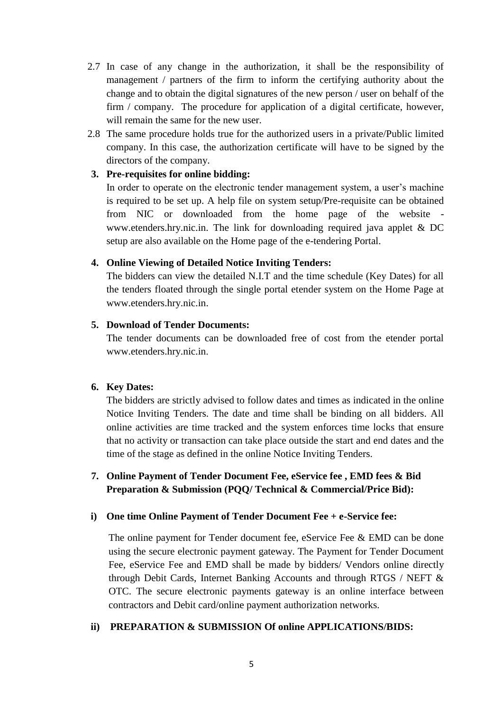- 2.7 In case of any change in the authorization, it shall be the responsibility of management / partners of the firm to inform the certifying authority about the change and to obtain the digital signatures of the new person / user on behalf of the firm / company. The procedure for application of a digital certificate, however, will remain the same for the new user.
- 2.8 The same procedure holds true for the authorized users in a private/Public limited company. In this case, the authorization certificate will have to be signed by the directors of the company.

#### **3. Pre-requisites for online bidding:**

In order to operate on the electronic tender management system, a user's machine is required to be set up. A help file on system setup/Pre-requisite can be obtained from NIC or downloaded from the home page of the website [www.etenders.hry.nic.in.](https://haryanaeprocurement.gov.in./) The link for downloading required java applet & DC setup are also available on the Home page of the e-tendering Portal.

#### **4. Online Viewing of Detailed Notice Inviting Tenders:**

The bidders can view the detailed N.I.T and the time schedule (Key Dates) for all the tenders floated through the single portal etender system on the Home Page at [www.etenders.hry.nic.in.](https://haryanaeprocurement.gov.in/)

#### **5. Download of Tender Documents:**

The tender documents can be downloaded free of cost from the etender portal [www.etenders.hry.nic.in](https://haryanaeprocurement.gov.in/).

#### **6. Key Dates:**

The bidders are strictly advised to follow dates and times as indicated in the online Notice Inviting Tenders. The date and time shall be binding on all bidders. All online activities are time tracked and the system enforces time locks that ensure that no activity or transaction can take place outside the start and end dates and the time of the stage as defined in the online Notice Inviting Tenders.

#### **7. Online Payment of Tender Document Fee, eService fee , EMD fees & Bid Preparation & Submission (PQQ/ Technical & Commercial/Price Bid):**

#### **i) One time Online Payment of Tender Document Fee + e-Service fee:**

The online payment for Tender document fee, eService Fee & EMD can be done using the secure electronic payment gateway. The Payment for Tender Document Fee, eService Fee and EMD shall be made by bidders/ Vendors online directly through Debit Cards, Internet Banking Accounts and through RTGS / NEFT & OTC. The secure electronic payments gateway is an online interface between contractors and Debit card/online payment authorization networks.

#### **ii) PREPARATION & SUBMISSION Of online APPLICATIONS/BIDS:**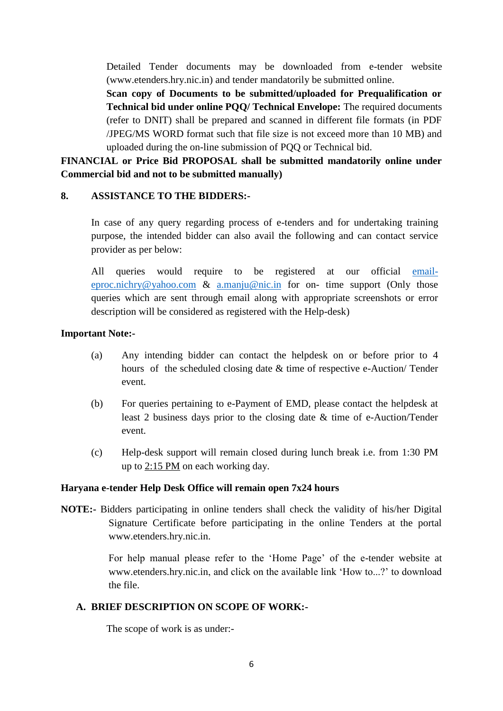Detailed Tender documents may be downloaded from e-tender website [\(www.etenders.hry.nic.in\)](https://haryanaeprocurement.gov.in/) and tender mandatorily be submitted online.

**Scan copy of Documents to be submitted/uploaded for Prequalification or Technical bid under online PQQ/ Technical Envelope:** The required documents (refer to DNIT) shall be prepared and scanned in different file formats (in PDF /JPEG/MS WORD format such that file size is not exceed more than 10 MB) and uploaded during the on-line submission of PQQ or Technical bid.

**FINANCIAL or Price Bid PROPOSAL shall be submitted mandatorily online under Commercial bid and not to be submitted manually)**

#### **8. ASSISTANCE TO THE BIDDERS:-**

In case of any query regarding process of e-tenders and for undertaking training purpose, the intended bidder can also avail the following and can contact service provider as per below:

All queries would require to be registered at our official [email](mailto:email-eproc.nichry@yahoo.com)[eproc.nichry@yahoo.com](mailto:email-eproc.nichry@yahoo.com) & [a.manju@nic.in](mailto:a.manju@nic.in) for on- time support (Only those queries which are sent through email along with appropriate screenshots or error description will be considered as registered with the Help-desk)

#### **Important Note:-**

- (a) Any intending bidder can contact the helpdesk on or before prior to 4 hours of the scheduled closing date & time of respective e-Auction/ Tender event.
- (b) For queries pertaining to e-Payment of EMD, please contact the helpdesk at least 2 business days prior to the closing date & time of e-Auction/Tender event.
- (c) Help-desk support will remain closed during lunch break i.e. from 1:30 PM up to 2:15 PM on each working day.

#### **Haryana e-tender Help Desk Office will remain open 7x24 hours**

**NOTE:-** Bidders participating in online tenders shall check the validity of his/her Digital Signature Certificate before participating in the online Tenders at the portal [www.etenders.hry.nic.in.](https://haryanaeprocurement.gov.in/)

> For help manual please refer to the 'Home Page' of the e-tender website at [www.etenders.hry.nic.in,](https://haryanaeprocurement.gov.in/) and click on the available link 'How to...?' to download the file.

#### **A. BRIEF DESCRIPTION ON SCOPE OF WORK:-**

The scope of work is as under:-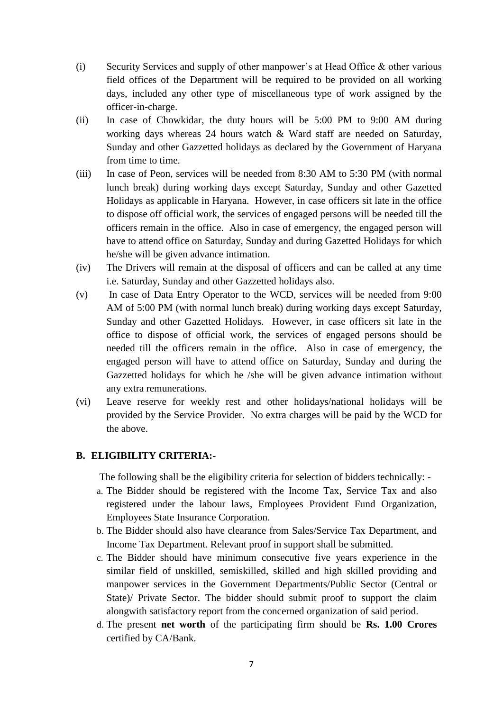- (i) Security Services and supply of other manpower's at Head Office  $\&$  other various field offices of the Department will be required to be provided on all working days, included any other type of miscellaneous type of work assigned by the officer-in-charge.
- (ii) In case of Chowkidar, the duty hours will be 5:00 PM to 9:00 AM during working days whereas 24 hours watch & Ward staff are needed on Saturday, Sunday and other Gazzetted holidays as declared by the Government of Haryana from time to time.
- (iii) In case of Peon, services will be needed from 8:30 AM to 5:30 PM (with normal lunch break) during working days except Saturday, Sunday and other Gazetted Holidays as applicable in Haryana. However, in case officers sit late in the office to dispose off official work, the services of engaged persons will be needed till the officers remain in the office. Also in case of emergency, the engaged person will have to attend office on Saturday, Sunday and during Gazetted Holidays for which he/she will be given advance intimation.
- (iv) The Drivers will remain at the disposal of officers and can be called at any time i.e. Saturday, Sunday and other Gazzetted holidays also.
- (v) In case of Data Entry Operator to the WCD, services will be needed from 9:00 AM of 5:00 PM (with normal lunch break) during working days except Saturday, Sunday and other Gazetted Holidays. However, in case officers sit late in the office to dispose of official work, the services of engaged persons should be needed till the officers remain in the office. Also in case of emergency, the engaged person will have to attend office on Saturday, Sunday and during the Gazzetted holidays for which he /she will be given advance intimation without any extra remunerations.
- (vi) Leave reserve for weekly rest and other holidays/national holidays will be provided by the Service Provider. No extra charges will be paid by the WCD for the above.

#### **B. ELIGIBILITY CRITERIA:-**

The following shall be the eligibility criteria for selection of bidders technically: -

- a. The Bidder should be registered with the Income Tax, Service Tax and also registered under the labour laws, Employees Provident Fund Organization, Employees State Insurance Corporation.
- b. The Bidder should also have clearance from Sales/Service Tax Department, and Income Tax Department. Relevant proof in support shall be submitted.
- c. The Bidder should have minimum consecutive five years experience in the similar field of unskilled, semiskilled, skilled and high skilled providing and manpower services in the Government Departments/Public Sector (Central or State)/ Private Sector. The bidder should submit proof to support the claim alongwith satisfactory report from the concerned organization of said period.
- d. The present **net worth** of the participating firm should be **Rs. 1.00 Crores** certified by CA/Bank.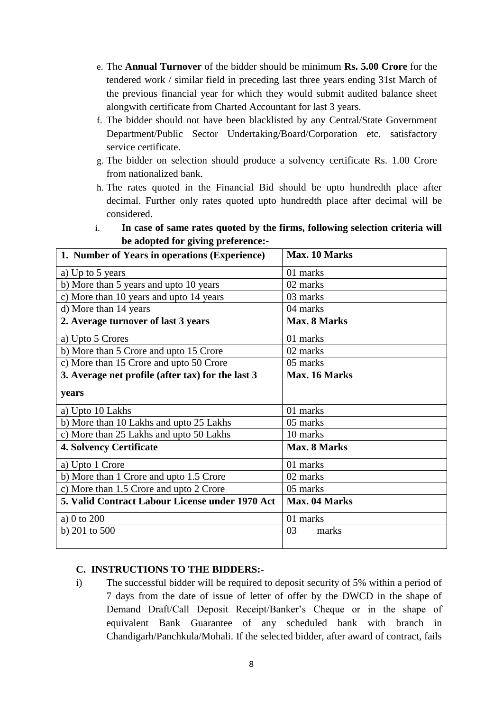- e. The **Annual Turnover** of the bidder should be minimum **Rs. 5.00 Crore** for the tendered work / similar field in preceding last three years ending 31st March of the previous financial year for which they would submit audited balance sheet alongwith certificate from Charted Accountant for last 3 years.
- f. The bidder should not have been blacklisted by any Central/State Government Department/Public Sector Undertaking/Board/Corporation etc. satisfactory service certificate.
- g. The bidder on selection should produce a solvency certificate Rs. 1.00 Crore from nationalized bank.
- h. The rates quoted in the Financial Bid should be upto hundredth place after decimal. Further only rates quoted upto hundredth place after decimal will be considered.
- i. **In case of same rates quoted by the firms, following selection criteria will be adopted for giving preference:-**

| 1. Number of Years in operations (Experience)     | Max. 10 Marks       |  |  |
|---------------------------------------------------|---------------------|--|--|
| a) Up to 5 years                                  | 01 marks            |  |  |
| b) More than 5 years and upto 10 years            | 02 marks            |  |  |
| c) More than 10 years and upto 14 years           | 03 marks            |  |  |
| d) More than 14 years                             | 04 marks            |  |  |
| 2. Average turnover of last 3 years               | <b>Max. 8 Marks</b> |  |  |
| a) Upto 5 Crores                                  | 01 marks            |  |  |
| b) More than 5 Crore and upto 15 Crore            | 02 marks            |  |  |
| c) More than 15 Crore and upto 50 Crore           | 05 marks            |  |  |
| 3. Average net profile (after tax) for the last 3 | Max. 16 Marks       |  |  |
| years                                             |                     |  |  |
| a) Upto 10 Lakhs                                  | 01 marks            |  |  |
| b) More than 10 Lakhs and upto 25 Lakhs           | 05 marks            |  |  |
| c) More than 25 Lakhs and upto 50 Lakhs           | 10 marks            |  |  |
| <b>4. Solvency Certificate</b>                    | Max. 8 Marks        |  |  |
| a) Upto 1 Crore                                   | 01 marks            |  |  |
| b) More than 1 Crore and upto 1.5 Crore           | 02 marks            |  |  |
| c) More than 1.5 Crore and upto 2 Crore           | 05 marks            |  |  |
| 5. Valid Contract Labour License under 1970 Act   | Max. 04 Marks       |  |  |
| a) 0 to 200                                       | 01 marks            |  |  |
| b) $201$ to $500$                                 | 03<br>marks         |  |  |

#### **C. INSTRUCTIONS TO THE BIDDERS:-**

i) The successful bidder will be required to deposit security of 5% within a period of 7 days from the date of issue of letter of offer by the DWCD in the shape of Demand Draft/Call Deposit Receipt/Banker's Cheque or in the shape of equivalent Bank Guarantee of any scheduled bank with branch in Chandigarh/Panchkula/Mohali. If the selected bidder, after award of contract, fails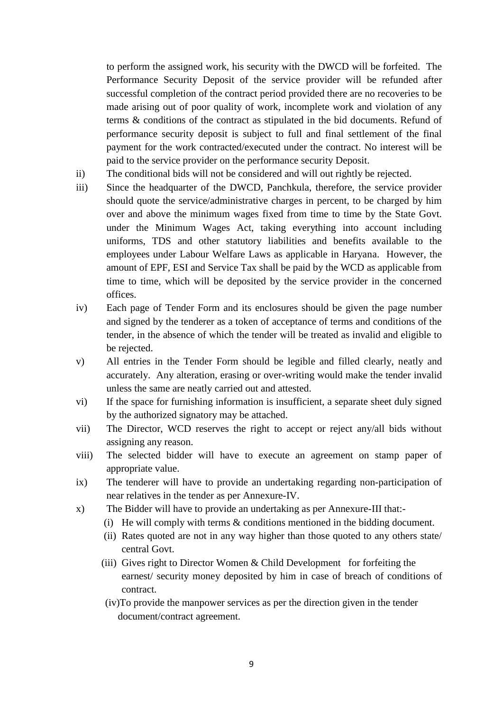to perform the assigned work, his security with the DWCD will be forfeited. The Performance Security Deposit of the service provider will be refunded after successful completion of the contract period provided there are no recoveries to be made arising out of poor quality of work, incomplete work and violation of any terms & conditions of the contract as stipulated in the bid documents. Refund of performance security deposit is subject to full and final settlement of the final payment for the work contracted/executed under the contract. No interest will be paid to the service provider on the performance security Deposit.

- ii) The conditional bids will not be considered and will out rightly be rejected.
- iii) Since the headquarter of the DWCD, Panchkula, therefore, the service provider should quote the service/administrative charges in percent, to be charged by him over and above the minimum wages fixed from time to time by the State Govt. under the Minimum Wages Act, taking everything into account including uniforms, TDS and other statutory liabilities and benefits available to the employees under Labour Welfare Laws as applicable in Haryana. However, the amount of EPF, ESI and Service Tax shall be paid by the WCD as applicable from time to time, which will be deposited by the service provider in the concerned offices.
- iv) Each page of Tender Form and its enclosures should be given the page number and signed by the tenderer as a token of acceptance of terms and conditions of the tender, in the absence of which the tender will be treated as invalid and eligible to be rejected.
- v) All entries in the Tender Form should be legible and filled clearly, neatly and accurately. Any alteration, erasing or over-writing would make the tender invalid unless the same are neatly carried out and attested.
- vi) If the space for furnishing information is insufficient, a separate sheet duly signed by the authorized signatory may be attached.
- vii) The Director, WCD reserves the right to accept or reject any/all bids without assigning any reason.
- viii) The selected bidder will have to execute an agreement on stamp paper of appropriate value.
- ix) The tenderer will have to provide an undertaking regarding non-participation of near relatives in the tender as per Annexure-IV.
- x) The Bidder will have to provide an undertaking as per Annexure-III that:-
	- (i) He will comply with terms & conditions mentioned in the bidding document.
	- (ii) Rates quoted are not in any way higher than those quoted to any others state/ central Govt.
	- (iii) Gives right to Director Women & Child Development for forfeiting the earnest/ security money deposited by him in case of breach of conditions of contract.
	- (iv)To provide the manpower services as per the direction given in the tender document/contract agreement.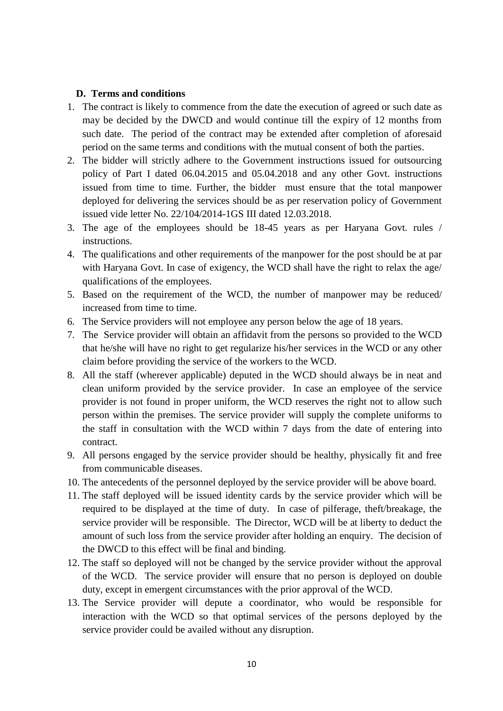#### **D. Terms and conditions**

- 1. The contract is likely to commence from the date the execution of agreed or such date as may be decided by the DWCD and would continue till the expiry of 12 months from such date. The period of the contract may be extended after completion of aforesaid period on the same terms and conditions with the mutual consent of both the parties.
- 2. The bidder will strictly adhere to the Government instructions issued for outsourcing policy of Part I dated 06.04.2015 and 05.04.2018 and any other Govt. instructions issued from time to time. Further, the bidder must ensure that the total manpower deployed for delivering the services should be as per reservation policy of Government issued vide letter No. 22/104/2014-1GS III dated 12.03.2018.
- 3. The age of the employees should be 18-45 years as per Haryana Govt. rules / instructions.
- 4. The qualifications and other requirements of the manpower for the post should be at par with Haryana Govt. In case of exigency, the WCD shall have the right to relax the age/ qualifications of the employees.
- 5. Based on the requirement of the WCD, the number of manpower may be reduced/ increased from time to time.
- 6. The Service providers will not employee any person below the age of 18 years.
- 7. The Service provider will obtain an affidavit from the persons so provided to the WCD that he/she will have no right to get regularize his/her services in the WCD or any other claim before providing the service of the workers to the WCD.
- 8. All the staff (wherever applicable) deputed in the WCD should always be in neat and clean uniform provided by the service provider. In case an employee of the service provider is not found in proper uniform, the WCD reserves the right not to allow such person within the premises. The service provider will supply the complete uniforms to the staff in consultation with the WCD within 7 days from the date of entering into contract.
- 9. All persons engaged by the service provider should be healthy, physically fit and free from communicable diseases.
- 10. The antecedents of the personnel deployed by the service provider will be above board.
- 11. The staff deployed will be issued identity cards by the service provider which will be required to be displayed at the time of duty. In case of pilferage, theft/breakage, the service provider will be responsible. The Director, WCD will be at liberty to deduct the amount of such loss from the service provider after holding an enquiry. The decision of the DWCD to this effect will be final and binding.
- 12. The staff so deployed will not be changed by the service provider without the approval of the WCD. The service provider will ensure that no person is deployed on double duty, except in emergent circumstances with the prior approval of the WCD.
- 13. The Service provider will depute a coordinator, who would be responsible for interaction with the WCD so that optimal services of the persons deployed by the service provider could be availed without any disruption.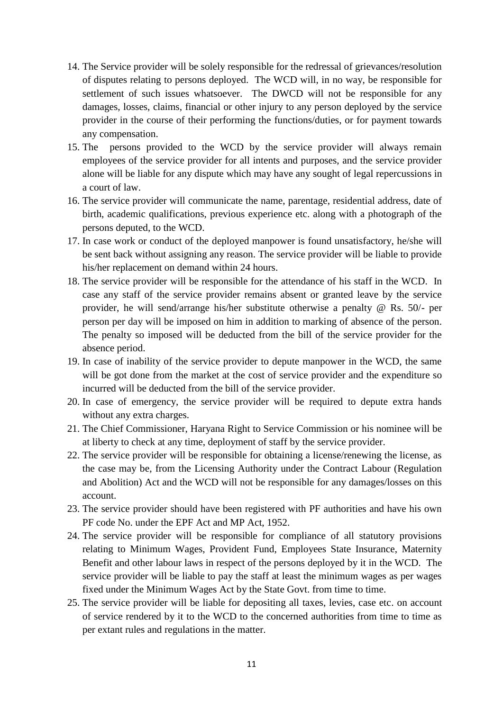- 14. The Service provider will be solely responsible for the redressal of grievances/resolution of disputes relating to persons deployed. The WCD will, in no way, be responsible for settlement of such issues whatsoever. The DWCD will not be responsible for any damages, losses, claims, financial or other injury to any person deployed by the service provider in the course of their performing the functions/duties, or for payment towards any compensation.
- 15. The persons provided to the WCD by the service provider will always remain employees of the service provider for all intents and purposes, and the service provider alone will be liable for any dispute which may have any sought of legal repercussions in a court of law.
- 16. The service provider will communicate the name, parentage, residential address, date of birth, academic qualifications, previous experience etc. along with a photograph of the persons deputed, to the WCD.
- 17. In case work or conduct of the deployed manpower is found unsatisfactory, he/she will be sent back without assigning any reason. The service provider will be liable to provide his/her replacement on demand within 24 hours.
- 18. The service provider will be responsible for the attendance of his staff in the WCD. In case any staff of the service provider remains absent or granted leave by the service provider, he will send/arrange his/her substitute otherwise a penalty @ Rs. 50/- per person per day will be imposed on him in addition to marking of absence of the person. The penalty so imposed will be deducted from the bill of the service provider for the absence period.
- 19. In case of inability of the service provider to depute manpower in the WCD, the same will be got done from the market at the cost of service provider and the expenditure so incurred will be deducted from the bill of the service provider.
- 20. In case of emergency, the service provider will be required to depute extra hands without any extra charges.
- 21. The Chief Commissioner, Haryana Right to Service Commission or his nominee will be at liberty to check at any time, deployment of staff by the service provider.
- 22. The service provider will be responsible for obtaining a license/renewing the license, as the case may be, from the Licensing Authority under the Contract Labour (Regulation and Abolition) Act and the WCD will not be responsible for any damages/losses on this account.
- 23. The service provider should have been registered with PF authorities and have his own PF code No. under the EPF Act and MP Act, 1952.
- 24. The service provider will be responsible for compliance of all statutory provisions relating to Minimum Wages, Provident Fund, Employees State Insurance, Maternity Benefit and other labour laws in respect of the persons deployed by it in the WCD. The service provider will be liable to pay the staff at least the minimum wages as per wages fixed under the Minimum Wages Act by the State Govt. from time to time.
- 25. The service provider will be liable for depositing all taxes, levies, case etc. on account of service rendered by it to the WCD to the concerned authorities from time to time as per extant rules and regulations in the matter.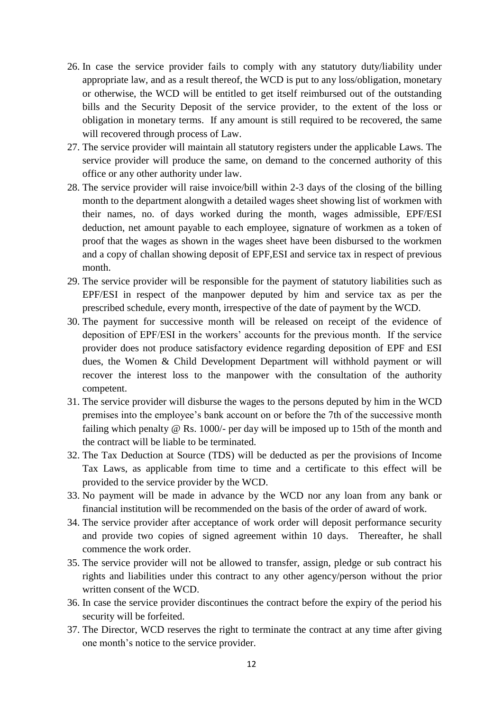- 26. In case the service provider fails to comply with any statutory duty/liability under appropriate law, and as a result thereof, the WCD is put to any loss/obligation, monetary or otherwise, the WCD will be entitled to get itself reimbursed out of the outstanding bills and the Security Deposit of the service provider, to the extent of the loss or obligation in monetary terms. If any amount is still required to be recovered, the same will recovered through process of Law.
- 27. The service provider will maintain all statutory registers under the applicable Laws. The service provider will produce the same, on demand to the concerned authority of this office or any other authority under law.
- 28. The service provider will raise invoice/bill within 2-3 days of the closing of the billing month to the department alongwith a detailed wages sheet showing list of workmen with their names, no. of days worked during the month, wages admissible, EPF/ESI deduction, net amount payable to each employee, signature of workmen as a token of proof that the wages as shown in the wages sheet have been disbursed to the workmen and a copy of challan showing deposit of EPF,ESI and service tax in respect of previous month.
- 29. The service provider will be responsible for the payment of statutory liabilities such as EPF/ESI in respect of the manpower deputed by him and service tax as per the prescribed schedule, every month, irrespective of the date of payment by the WCD.
- 30. The payment for successive month will be released on receipt of the evidence of deposition of EPF/ESI in the workers' accounts for the previous month. If the service provider does not produce satisfactory evidence regarding deposition of EPF and ESI dues, the Women & Child Development Department will withhold payment or will recover the interest loss to the manpower with the consultation of the authority competent.
- 31. The service provider will disburse the wages to the persons deputed by him in the WCD premises into the employee's bank account on or before the 7th of the successive month failing which penalty @ Rs. 1000/- per day will be imposed up to 15th of the month and the contract will be liable to be terminated.
- 32. The Tax Deduction at Source (TDS) will be deducted as per the provisions of Income Tax Laws, as applicable from time to time and a certificate to this effect will be provided to the service provider by the WCD.
- 33. No payment will be made in advance by the WCD nor any loan from any bank or financial institution will be recommended on the basis of the order of award of work.
- 34. The service provider after acceptance of work order will deposit performance security and provide two copies of signed agreement within 10 days. Thereafter, he shall commence the work order.
- 35. The service provider will not be allowed to transfer, assign, pledge or sub contract his rights and liabilities under this contract to any other agency/person without the prior written consent of the WCD.
- 36. In case the service provider discontinues the contract before the expiry of the period his security will be forfeited.
- 37. The Director, WCD reserves the right to terminate the contract at any time after giving one month's notice to the service provider.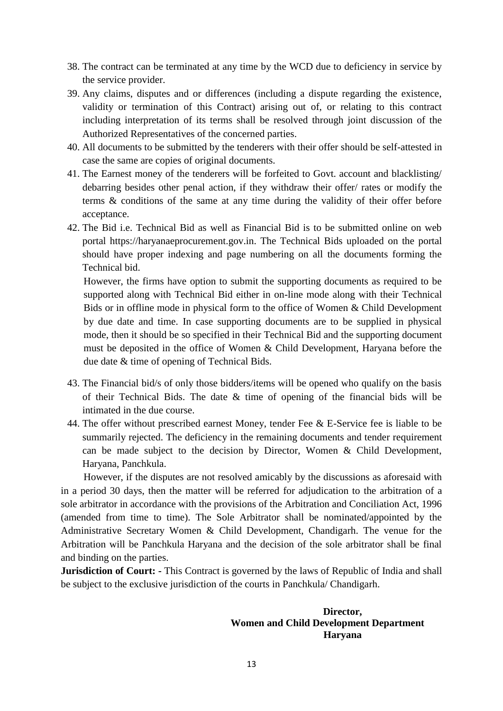- 38. The contract can be terminated at any time by the WCD due to deficiency in service by the service provider.
- 39. Any claims, disputes and or differences (including a dispute regarding the existence, validity or termination of this Contract) arising out of, or relating to this contract including interpretation of its terms shall be resolved through joint discussion of the Authorized Representatives of the concerned parties.
- 40. All documents to be submitted by the tenderers with their offer should be self-attested in case the same are copies of original documents.
- 41. The Earnest money of the tenderers will be forfeited to Govt. account and blacklisting/ debarring besides other penal action, if they withdraw their offer/ rates or modify the terms & conditions of the same at any time during the validity of their offer before acceptance.
- 42. The Bid i.e. Technical Bid as well as Financial Bid is to be submitted online on web portal https://haryanaeprocurement.gov.in. The Technical Bids uploaded on the portal should have proper indexing and page numbering on all the documents forming the Technical bid.

However, the firms have option to submit the supporting documents as required to be supported along with Technical Bid either in on-line mode along with their Technical Bids or in offline mode in physical form to the office of Women & Child Development by due date and time. In case supporting documents are to be supplied in physical mode, then it should be so specified in their Technical Bid and the supporting document must be deposited in the office of Women & Child Development, Haryana before the due date & time of opening of Technical Bids.

- 43. The Financial bid/s of only those bidders/items will be opened who qualify on the basis of their Technical Bids. The date & time of opening of the financial bids will be intimated in the due course.
- 44. The offer without prescribed earnest Money, tender Fee & E-Service fee is liable to be summarily rejected. The deficiency in the remaining documents and tender requirement can be made subject to the decision by Director, Women & Child Development, Haryana, Panchkula.

 However, if the disputes are not resolved amicably by the discussions as aforesaid with in a period 30 days, then the matter will be referred for adjudication to the arbitration of a sole arbitrator in accordance with the provisions of the Arbitration and Conciliation Act, 1996 (amended from time to time). The Sole Arbitrator shall be nominated/appointed by the Administrative Secretary Women & Child Development, Chandigarh. The venue for the Arbitration will be Panchkula Haryana and the decision of the sole arbitrator shall be final and binding on the parties.

**Jurisdiction of Court:** - This Contract is governed by the laws of Republic of India and shall be subject to the exclusive jurisdiction of the courts in Panchkula/ Chandigarh.

#### **Director, Women and Child Development Department Haryana**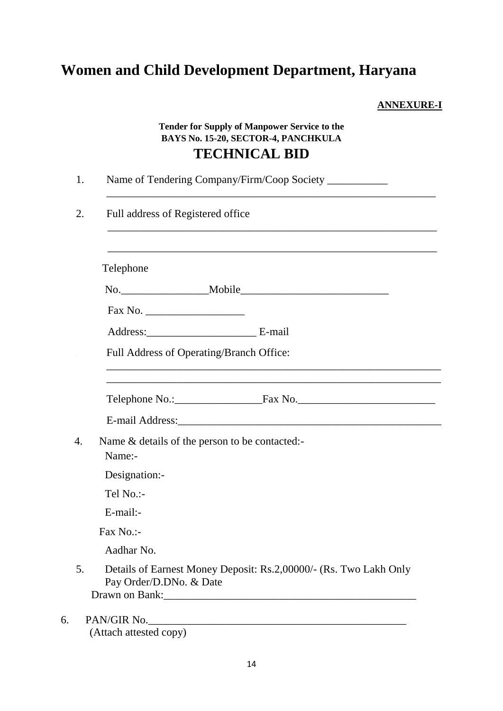# **Women and Child Development Department, Haryana**

**ANNEXURE-I**

# **Tender for Supply of Manpower Service to the BAYS No. 15-20, SECTOR-4, PANCHKULA TECHNICAL BID**

| 1. | Name of Tendering Company/Firm/Coop Society __________                                                                |
|----|-----------------------------------------------------------------------------------------------------------------------|
| 2. | Full address of Registered office<br><u> 1989 - Johann Stoff, amerikansk politiker (d. 1989)</u>                      |
|    | Telephone                                                                                                             |
|    |                                                                                                                       |
|    |                                                                                                                       |
|    | Address: E-mail                                                                                                       |
|    | Full Address of Operating/Branch Office:                                                                              |
|    | <u> 1980 - Johann Stoff, deutscher Stoff, der Stoff, der Stoff, der Stoff, der Stoff, der Stoff, der Stoff, der S</u> |
|    | Telephone No.: Fax No. Telephone No.                                                                                  |
|    |                                                                                                                       |
|    | Name & details of the person to be contacted:-<br>Name:-                                                              |
|    | Designation:-                                                                                                         |
|    | Tel No.:-                                                                                                             |
|    | E-mail:-                                                                                                              |
|    | Fax No.:-                                                                                                             |
|    | Aadhar No.                                                                                                            |
| 5. | Details of Earnest Money Deposit: Rs.2,00000/- (Rs. Two Lakh Only<br>Pay Order/D.DNo. & Date                          |
|    | PAN/GIR No.                                                                                                           |

(Attach attested copy)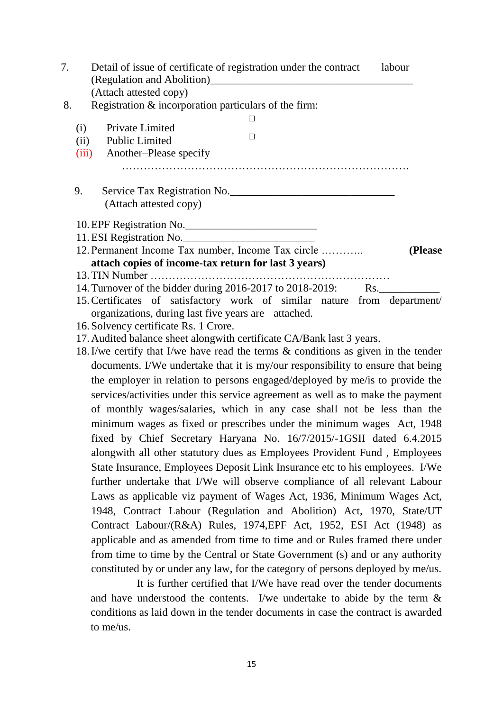| 7. | Detail of issue of certificate of registration under the contract<br>labour                                           |
|----|-----------------------------------------------------------------------------------------------------------------------|
| 8. | (Attach attested copy)<br>Registration & incorporation particulars of the firm:                                       |
|    | □                                                                                                                     |
|    | Private Limited<br>(i)<br>□                                                                                           |
|    | <b>Public Limited</b><br>(ii)                                                                                         |
|    | Another–Please specify<br>(iii)                                                                                       |
|    | Service Tax Registration No.<br>9.                                                                                    |
|    | (Attach attested copy)                                                                                                |
|    | 10. EPF Registration No.                                                                                              |
|    |                                                                                                                       |
|    | 12. Permanent Income Tax number, Income Tax circle<br>(Please<br>attach copies of income-tax return for last 3 years) |
|    |                                                                                                                       |
|    | 14. Turnover of the bidder during 2016-2017 to 2018-2019: Rs.                                                         |
|    | 15. Certificates of satisfactory work of similar nature from department/                                              |
|    | organizations, during last five years are attached.                                                                   |
|    | 16. Solvency certificate Rs. 1 Crore.                                                                                 |
|    | 17. Audited balance sheet alongwith certificate CA/Bank last 3 years.                                                 |
|    | 18. I/we certify that I/we have read the terms $\&$ conditions as given in the tender                                 |
|    | documents. I/We undertake that it is my/our responsibility to ensure that being                                       |
|    | the employer in relation to persons engaged/deployed by me/is to provide the                                          |
|    | services/activities under this service agreement as well as to make the payment                                       |
|    | of monthly wages/salaries, which in any case shall not be less than the                                               |
|    | minimum wages as fixed or prescribes under the minimum wages Act, 1948                                                |
|    | fixed by Chief Secretary Haryana No. 16/7/2015/-1GSII dated 6.4.2015                                                  |
|    |                                                                                                                       |
|    | alongwith all other statutory dues as Employees Provident Fund, Employees                                             |
|    | State Insurance, Employees Deposit Link Insurance etc to his employees. I/We                                          |
|    | further undertake that I/We will observe compliance of all relevant Labour                                            |
|    | Laws as applicable viz payment of Wages Act, 1936, Minimum Wages Act,                                                 |
|    | 1948, Contract Labour (Regulation and Abolition) Act, 1970, State/UT                                                  |
|    | Contract Labour/(R&A) Rules, 1974, EPF Act, 1952, ESI Act (1948) as                                                   |
|    | applicable and as amended from time to time and or Rules framed there under                                           |
|    | from time to time by the Central or State Government (s) and or any authority                                         |
|    | constituted by or under any law, for the category of persons deployed by me/us.                                       |
|    |                                                                                                                       |
|    | It is further certified that I/We have read over the tender documents                                                 |
|    | and have understood the contents. I/we undertake to abide by the term $\&$                                            |

conditions as laid down in the tender documents in case the contract is awarded to me/us.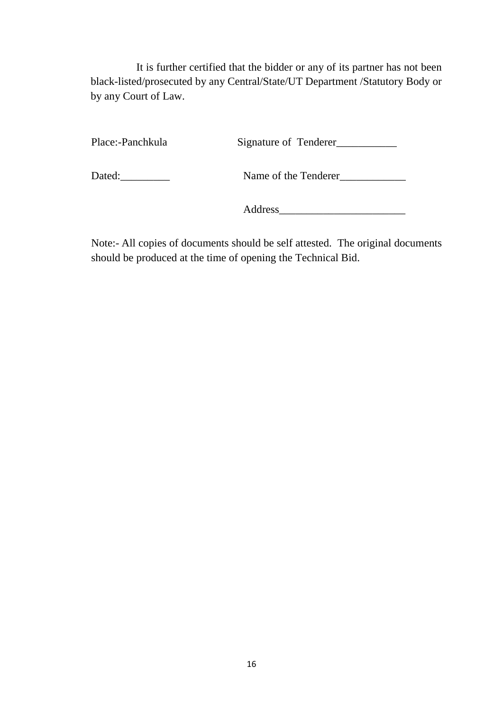It is further certified that the bidder or any of its partner has not been black-listed/prosecuted by any Central/State/UT Department /Statutory Body or by any Court of Law.

Place:-Panchkula Signature of Tenderer\_\_\_\_\_\_\_\_\_\_\_

Dated:\_\_\_\_\_\_\_\_\_ Name of the Tenderer\_\_\_\_\_\_\_\_\_\_\_\_

Address\_\_\_\_\_\_\_\_\_\_\_\_\_\_\_\_\_\_\_\_\_\_\_

Note:- All copies of documents should be self attested. The original documents should be produced at the time of opening the Technical Bid.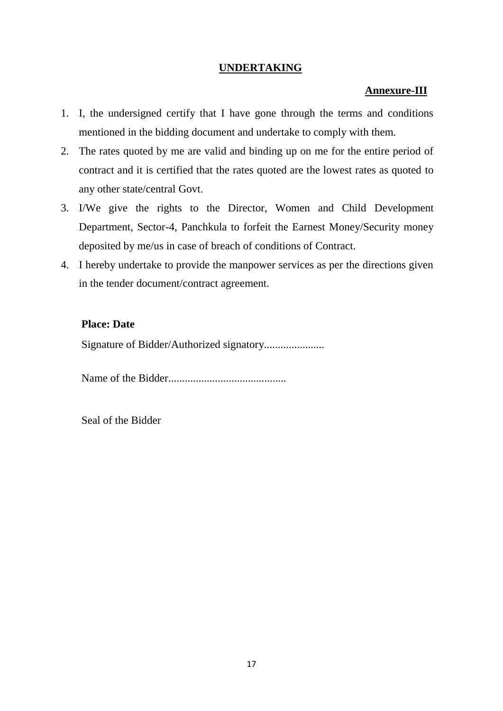#### **UNDERTAKING**

#### **Annexure-III**

- 1. I, the undersigned certify that I have gone through the terms and conditions mentioned in the bidding document and undertake to comply with them.
- 2. The rates quoted by me are valid and binding up on me for the entire period of contract and it is certified that the rates quoted are the lowest rates as quoted to any other state/central Govt.
- 3. I/We give the rights to the Director, Women and Child Development Department, Sector-4, Panchkula to forfeit the Earnest Money/Security money deposited by me/us in case of breach of conditions of Contract.
- 4. I hereby undertake to provide the manpower services as per the directions given in the tender document/contract agreement.

#### **Place: Date**

Signature of Bidder/Authorized signatory......................

Name of the Bidder...........................................

Seal of the Bidder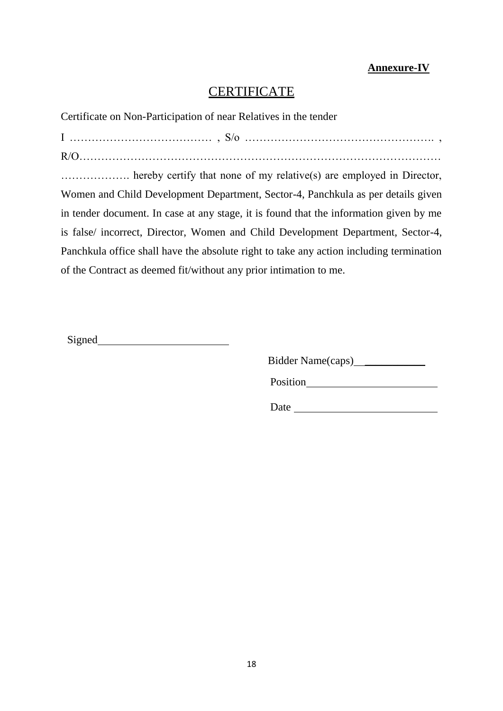## **Annexure-IV**

# **CERTIFICATE**

Certificate on Non-Participation of near Relatives in the tender

I ………………………………… , S/o ……………………………………………. , R/O……………………………………………………………………………………… ………………. hereby certify that none of my relative(s) are employed in Director, Women and Child Development Department, Sector-4, Panchkula as per details given in tender document. In case at any stage, it is found that the information given by me is false/ incorrect, Director, Women and Child Development Department, Sector-4, Panchkula office shall have the absolute right to take any action including termination of the Contract as deemed fit/without any prior intimation to me.

Signed and the state of  $\sim$ 

Bidder Name(caps) \_\_\_\_\_\_\_\_\_\_\_\_\_

Position and the position of the set of the set of the set of the set of the set of the set of the set of the set of the set of the set of the set of the set of the set of the set of the set of the set of the set of the se

Date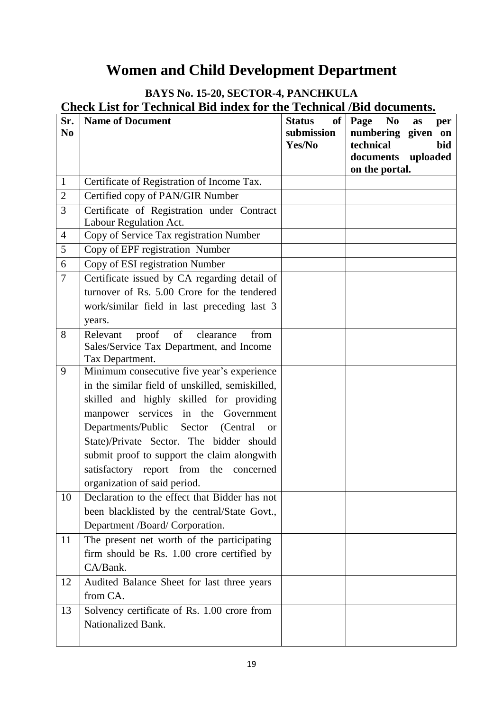# **Women and Child Development Department**

# **BAYS No. 15-20, SECTOR-4, PANCHKULA Check List for Technical Bid index for the Technical /Bid documents.**

| Sr.<br>N <sub>0</sub> | <b>Name of Document</b>                                                                  | of<br><b>Status</b><br>submission | N <sub>0</sub><br>Page<br>as<br>per<br>numbering given on |
|-----------------------|------------------------------------------------------------------------------------------|-----------------------------------|-----------------------------------------------------------|
|                       |                                                                                          | Yes/No                            | technical<br>bid<br>documents uploaded                    |
|                       |                                                                                          |                                   | on the portal.                                            |
| $\mathbf{1}$          | Certificate of Registration of Income Tax.                                               |                                   |                                                           |
| $\overline{2}$        | Certified copy of PAN/GIR Number                                                         |                                   |                                                           |
| 3                     | Certificate of Registration under Contract<br>Labour Regulation Act.                     |                                   |                                                           |
| $\overline{4}$        | Copy of Service Tax registration Number                                                  |                                   |                                                           |
| 5                     | Copy of EPF registration Number                                                          |                                   |                                                           |
| 6                     | Copy of ESI registration Number                                                          |                                   |                                                           |
| $\overline{7}$        | Certificate issued by CA regarding detail of                                             |                                   |                                                           |
|                       | turnover of Rs. 5.00 Crore for the tendered                                              |                                   |                                                           |
|                       | work/similar field in last preceding last 3                                              |                                   |                                                           |
|                       | years.                                                                                   |                                   |                                                           |
| 8                     | of<br>proof<br>clearance<br>from<br>Relevant<br>Sales/Service Tax Department, and Income |                                   |                                                           |
|                       | Tax Department.                                                                          |                                   |                                                           |
| 9                     | Minimum consecutive five year's experience                                               |                                   |                                                           |
|                       | in the similar field of unskilled, semiskilled,                                          |                                   |                                                           |
|                       | skilled and highly skilled for providing                                                 |                                   |                                                           |
|                       | manpower services in the Government                                                      |                                   |                                                           |
|                       | Departments/Public Sector<br>(Central)<br><b>or</b>                                      |                                   |                                                           |
|                       | State)/Private Sector. The bidder should                                                 |                                   |                                                           |
|                       | submit proof to support the claim alongwith                                              |                                   |                                                           |
|                       | satisfactory report from the concerned                                                   |                                   |                                                           |
|                       | organization of said period.                                                             |                                   |                                                           |
| 10                    | Declaration to the effect that Bidder has not                                            |                                   |                                                           |
|                       | been blacklisted by the central/State Govt.,                                             |                                   |                                                           |
| 11                    | Department /Board/ Corporation.<br>The present net worth of the participating            |                                   |                                                           |
|                       | firm should be Rs. 1.00 crore certified by                                               |                                   |                                                           |
|                       | CA/Bank.                                                                                 |                                   |                                                           |
| 12                    |                                                                                          |                                   |                                                           |
|                       | Audited Balance Sheet for last three years<br>from CA.                                   |                                   |                                                           |
| 13                    | Solvency certificate of Rs. 1.00 crore from                                              |                                   |                                                           |
|                       | Nationalized Bank.                                                                       |                                   |                                                           |
|                       |                                                                                          |                                   |                                                           |